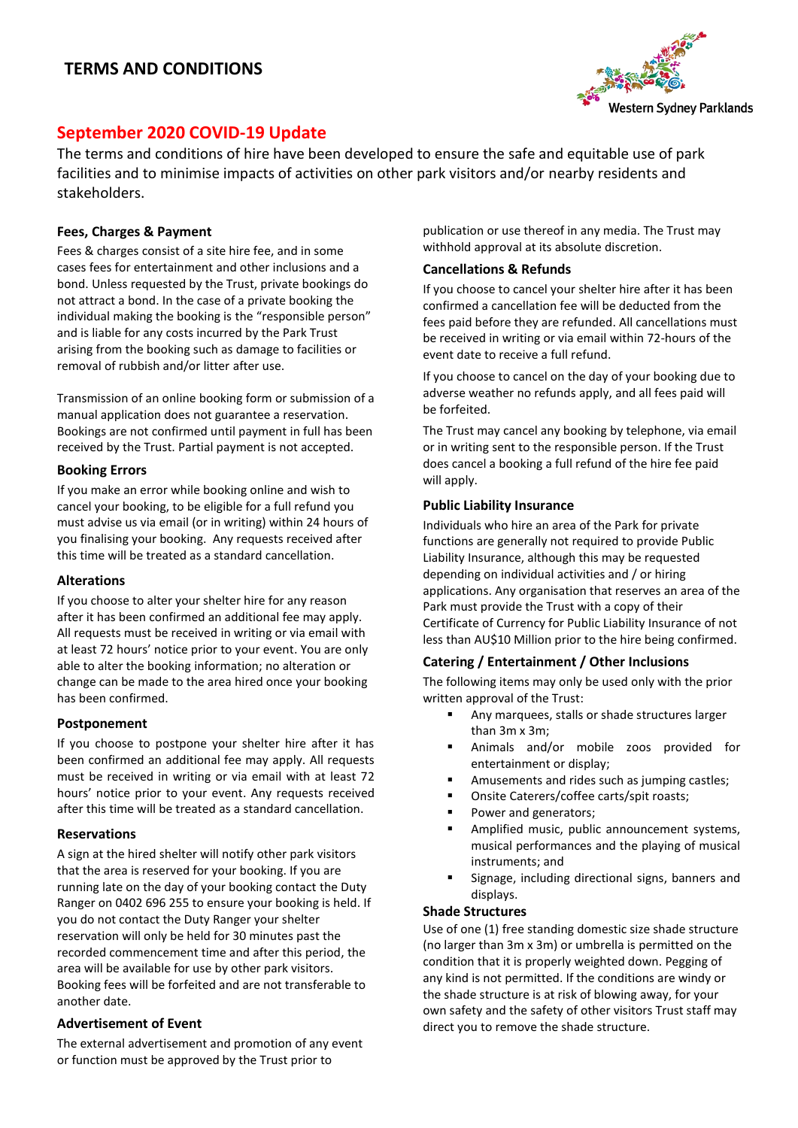# **TERMS AND CONDITIONS**



# **September 2020 COVID-19 Update**

The terms and conditions of hire have been developed to ensure the safe and equitable use of park facilities and to minimise impacts of activities on other park visitors and/or nearby residents and stakeholders.

## **Fees, Charges & Payment**

Fees & charges consist of a site hire fee, and in some cases fees for entertainment and other inclusions and a bond. Unless requested by the Trust, private bookings do not attract a bond. In the case of a private booking the individual making the booking is the "responsible person" and is liable for any costs incurred by the Park Trust arising from the booking such as damage to facilities or removal of rubbish and/or litter after use.

Transmission of an online booking form or submission of a manual application does not guarantee a reservation. Bookings are not confirmed until payment in full has been received by the Trust. Partial payment is not accepted.

#### **Booking Errors**

If you make an error while booking online and wish to cancel your booking, to be eligible for a full refund you must advise us via email (or in writing) within 24 hours of you finalising your booking. Any requests received after this time will be treated as a standard cancellation.

#### **Alterations**

If you choose to alter your shelter hire for any reason after it has been confirmed an additional fee may apply. All requests must be received in writing or via email with at least 72 hours' notice prior to your event. You are only able to alter the booking information; no alteration or change can be made to the area hired once your booking has been confirmed.

#### **Postponement**

If you choose to postpone your shelter hire after it has been confirmed an additional fee may apply. All requests must be received in writing or via email with at least 72 hours' notice prior to your event. Any requests received after this time will be treated as a standard cancellation.

#### **Reservations**

A sign at the hired shelter will notify other park visitors that the area is reserved for your booking. If you are running late on the day of your booking contact the Duty Ranger on 0402 696 255 to ensure your booking is held. If you do not contact the Duty Ranger your shelter reservation will only be held for 30 minutes past the recorded commencement time and after this period, the area will be available for use by other park visitors. Booking fees will be forfeited and are not transferable to another date.

#### **Advertisement of Event**

The external advertisement and promotion of any event or function must be approved by the Trust prior to

publication or use thereof in any media. The Trust may withhold approval at its absolute discretion.

## **Cancellations & Refunds**

If you choose to cancel your shelter hire after it has been confirmed a cancellation fee will be deducted from the fees paid before they are refunded. All cancellations must be received in writing or via email within 72-hours of the event date to receive a full refund.

If you choose to cancel on the day of your booking due to adverse weather no refunds apply, and all fees paid will be forfeited.

The Trust may cancel any booking by telephone, via email or in writing sent to the responsible person. If the Trust does cancel a booking a full refund of the hire fee paid will apply.

#### **Public Liability Insurance**

Individuals who hire an area of the Park for private functions are generally not required to provide Public Liability Insurance, although this may be requested depending on individual activities and / or hiring applications. Any organisation that reserves an area of the Park must provide the Trust with a copy of their Certificate of Currency for Public Liability Insurance of not less than AU\$10 Million prior to the hire being confirmed.

#### **Catering / Entertainment / Other Inclusions**

The following items may only be used only with the prior written approval of the Trust:

- Any marquees, stalls or shade structures larger than 3m x 3m;
- Animals and/or mobile zoos provided for entertainment or display;
- Amusements and rides such as jumping castles;
- Onsite Caterers/coffee carts/spit roasts;
- Power and generators;
- Amplified music, public announcement systems, musical performances and the playing of musical instruments; and
- Signage, including directional signs, banners and displays.

#### **Shade Structures**

Use of one (1) free standing domestic size shade structure (no larger than 3m x 3m) or umbrella is permitted on the condition that it is properly weighted down. Pegging of any kind is not permitted. If the conditions are windy or the shade structure is at risk of blowing away, for your own safety and the safety of other visitors Trust staff may direct you to remove the shade structure.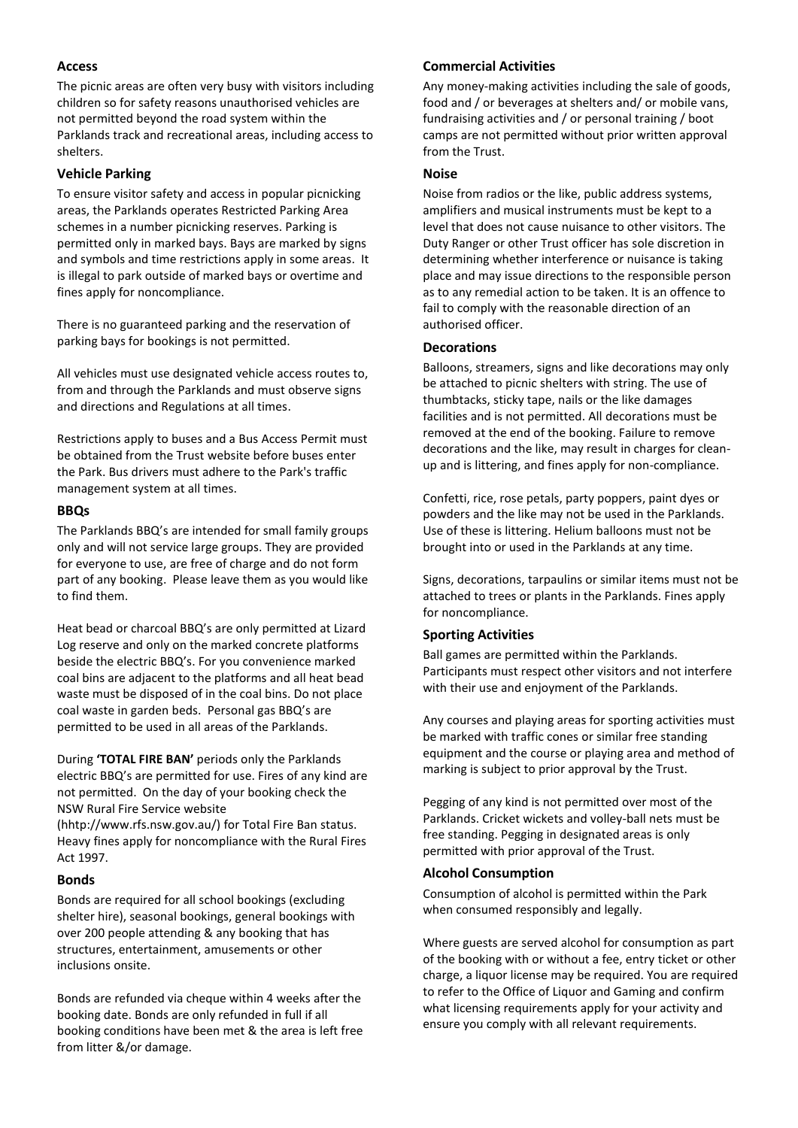## **Access**

The picnic areas are often very busy with visitors including children so for safety reasons unauthorised vehicles are not permitted beyond the road system within the Parklands track and recreational areas, including access to shelters.

## **Vehicle Parking**

To ensure visitor safety and access in popular picnicking areas, the Parklands operates Restricted Parking Area schemes in a number picnicking reserves. Parking is permitted only in marked bays. Bays are marked by signs and symbols and time restrictions apply in some areas. It is illegal to park outside of marked bays or overtime and fines apply for noncompliance.

There is no guaranteed parking and the reservation of parking bays for bookings is not permitted.

All vehicles must use designated vehicle access routes to, from and through the Parklands and must observe signs and directions and Regulations at all times.

Restrictions apply to buses and a Bus Access Permit must be obtained from the Trust website before buses enter the Park. Bus drivers must adhere to the Park's traffic management system at all times.

#### **BBQs**

The Parklands BBQ's are intended for small family groups only and will not service large groups. They are provided for everyone to use, are free of charge and do not form part of any booking. Please leave them as you would like to find them.

Heat bead or charcoal BBQ's are only permitted at Lizard Log reserve and only on the marked concrete platforms beside the electric BBQ's. For you convenience marked coal bins are adjacent to the platforms and all heat bead waste must be disposed of in the coal bins. Do not place coal waste in garden beds. Personal gas BBQ's are permitted to be used in all areas of the Parklands.

During **'TOTAL FIRE BAN'** periods only the Parklands electric BBQ's are permitted for use. Fires of any kind are not permitted. On the day of your booking check the NSW Rural Fire Service website

(hhtp://www.rfs.nsw.gov.au/) for Total Fire Ban status. Heavy fines apply for noncompliance with the Rural Fires Act 1997.

#### **Bonds**

Bonds are required for all school bookings (excluding shelter hire), seasonal bookings, general bookings with over 200 people attending & any booking that has structures, entertainment, amusements or other inclusions onsite.

Bonds are refunded via cheque within 4 weeks after the booking date. Bonds are only refunded in full if all booking conditions have been met & the area is left free from litter &/or damage.

# **Commercial Activities**

Any money-making activities including the sale of goods, food and / or beverages at shelters and/ or mobile vans, fundraising activities and / or personal training / boot camps are not permitted without prior written approval from the Trust.

#### **Noise**

Noise from radios or the like, public address systems, amplifiers and musical instruments must be kept to a level that does not cause nuisance to other visitors. The Duty Ranger or other Trust officer has sole discretion in determining whether interference or nuisance is taking place and may issue directions to the responsible person as to any remedial action to be taken. It is an offence to fail to comply with the reasonable direction of an authorised officer.

#### **Decorations**

Balloons, streamers, signs and like decorations may only be attached to picnic shelters with string. The use of thumbtacks, sticky tape, nails or the like damages facilities and is not permitted. All decorations must be removed at the end of the booking. Failure to remove decorations and the like, may result in charges for cleanup and is littering, and fines apply for non-compliance.

Confetti, rice, rose petals, party poppers, paint dyes or powders and the like may not be used in the Parklands. Use of these is littering. Helium balloons must not be brought into or used in the Parklands at any time.

Signs, decorations, tarpaulins or similar items must not be attached to trees or plants in the Parklands. Fines apply for noncompliance.

#### **Sporting Activities**

Ball games are permitted within the Parklands. Participants must respect other visitors and not interfere with their use and enjoyment of the Parklands.

Any courses and playing areas for sporting activities must be marked with traffic cones or similar free standing equipment and the course or playing area and method of marking is subject to prior approval by the Trust.

Pegging of any kind is not permitted over most of the Parklands. Cricket wickets and volley-ball nets must be free standing. Pegging in designated areas is only permitted with prior approval of the Trust.

#### **Alcohol Consumption**

Consumption of alcohol is permitted within the Park when consumed responsibly and legally.

Where guests are served alcohol for consumption as part of the booking with or without a fee, entry ticket or other charge, a liquor license may be required. You are required to refer to the Office of Liquor and Gaming and confirm what licensing requirements apply for your activity and ensure you comply with all relevant requirements.